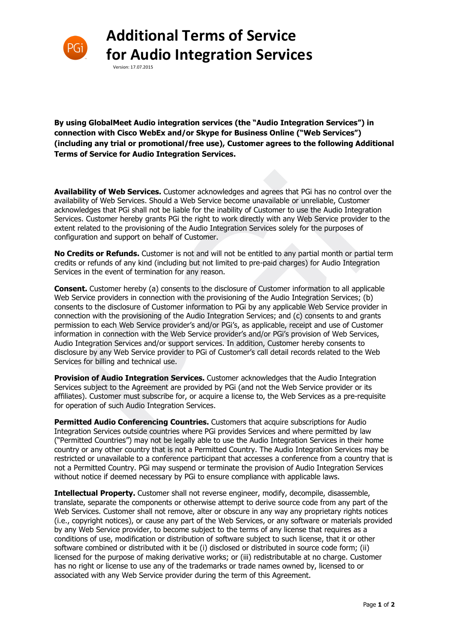

## **Additional Terms of Service for Audio Integration Services**

Version: 17.07.2015

**By using GlobalMeet Audio integration services (the "Audio Integration Services") in connection with Cisco WebEx and/or Skype for Business Online ("Web Services") (including any trial or promotional/free use), Customer agrees to the following Additional Terms of Service for Audio Integration Services.** 

**Availability of Web Services.** Customer acknowledges and agrees that PGi has no control over the availability of Web Services. Should a Web Service become unavailable or unreliable, Customer acknowledges that PGi shall not be liable for the inability of Customer to use the Audio Integration Services. Customer hereby grants PGi the right to work directly with any Web Service provider to the extent related to the provisioning of the Audio Integration Services solely for the purposes of configuration and support on behalf of Customer.

**No Credits or Refunds.** Customer is not and will not be entitled to any partial month or partial term credits or refunds of any kind (including but not limited to pre-paid charges) for Audio Integration Services in the event of termination for any reason.

**Consent.** Customer hereby (a) consents to the disclosure of Customer information to all applicable Web Service providers in connection with the provisioning of the Audio Integration Services; (b) consents to the disclosure of Customer information to PGi by any applicable Web Service provider in connection with the provisioning of the Audio Integration Services; and (c) consents to and grants permission to each Web Service provider's and/or PGi's, as applicable, receipt and use of Customer information in connection with the Web Service provider's and/or PGi's provision of Web Services, Audio Integration Services and/or support services. In addition, Customer hereby consents to disclosure by any Web Service provider to PGi of Customer's call detail records related to the Web Services for billing and technical use. **bility of Web Services.** Customer acknowledges and agrees that PGi has no control<br>ility of Web Services. Should a Web Service become unavailable or unreliable, Custome<br>riedges that PGi shall not be liable for the inabilit

**Provision of Audio Integration Services.** Customer acknowledges that the Audio Integration Services subject to the Agreement are provided by PGi (and not the Web Service provider or its affiliates). Customer must subscribe for, or acquire a license to, the Web Services as a pre-requisite for operation of such Audio Integration Services.

**Permitted Audio Conferencing Countries.** Customers that acquire subscriptions for Audio Integration Services outside countries where PGi provides Services and where permitted by law ("Permitted Countries") may not be legally able to use the Audio Integration Services in their home country or any other country that is not a Permitted Country. The Audio Integration Services may be restricted or unavailable to a conference participant that accesses a conference from a country that is not a Permitted Country. PGi may suspend or terminate the provision of Audio Integration Services without notice if deemed necessary by PGi to ensure compliance with applicable laws.

**Intellectual Property.** Customer shall not reverse engineer, modify, decompile, disassemble, translate, separate the components or otherwise attempt to derive source code from any part of the Web Services. Customer shall not remove, alter or obscure in any way any proprietary rights notices (i.e., copyright notices), or cause any part of the Web Services, or any software or materials provided by any Web Service provider, to become subject to the terms of any license that requires as a conditions of use, modification or distribution of software subject to such license, that it or other software combined or distributed with it be (i) disclosed or distributed in source code form; (ii) licensed for the purpose of making derivative works; or (iii) redistributable at no charge. Customer has no right or license to use any of the trademarks or trade names owned by, licensed to or associated with any Web Service provider during the term of this Agreement.